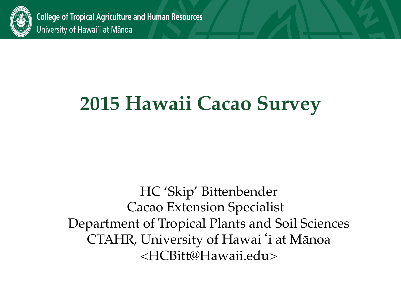

**College of Tropical Agriculture and Human Resources** University of Hawai'i at Mānoa

## **2015 Hawaii Cacao Survey**

HC 'Skip' Bittenbender Cacao Extension Specialist Department of Tropical Plants and Soil Sciences CTAHR, University of Hawai'i at Mānoa <HCBitt@Hawaii.edu>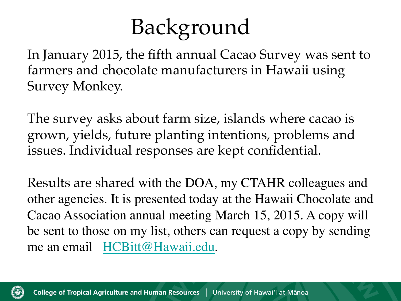# Background

In January 2015, the fifth annual Cacao Survey was sent to farmers and chocolate manufacturers in Hawaii using Survey Monkey.

The survey asks about farm size, islands where cacao is grown, yields, future planting intentions, problems and issues. Individual responses are kept confidential.

Results are shared with the DOA, my CTAHR colleagues and other agencies. It is presented today at the Hawaii Chocolate and Cacao Association annual meeting March 15, 2015. A copy will be sent to those on my list, others can request a copy by sending me an email HCBitt@Hawaii.edu.

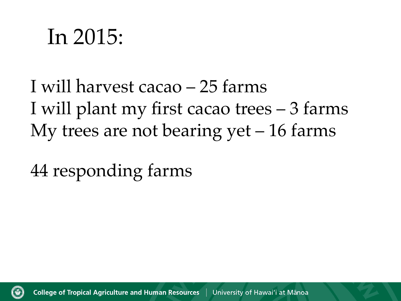# In 2015:

I will harvest cacao – 25 farms I will plant my first cacao trees – 3 farms My trees are not bearing yet  $-16$  farms

44 responding farms

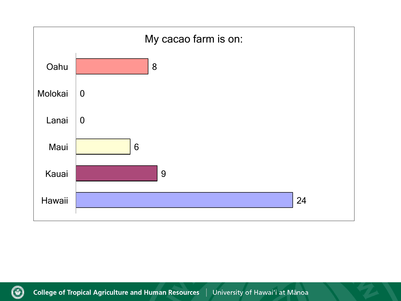

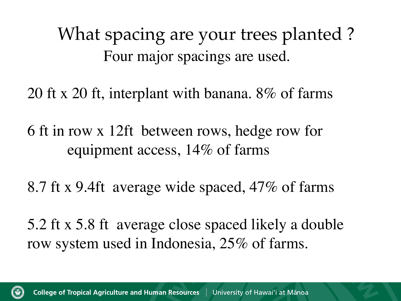What spacing are your trees planted ? Four major spacings are used.

20 ft x 20 ft, interplant with banana. 8% of farms

6 ft in row x 12ft between rows, hedge row for equipment access, 14% of farms

8.7 ft x 9.4ft average wide spaced, 47% of farms

5.2 ft x 5.8 ft average close spaced likely a double row system used in Indonesia, 25% of farms.

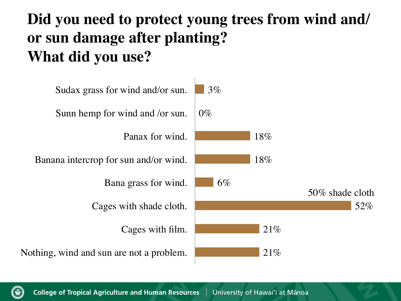### **Did you need to protect young trees from wind and/ or sun damage after planting? What did you use?**



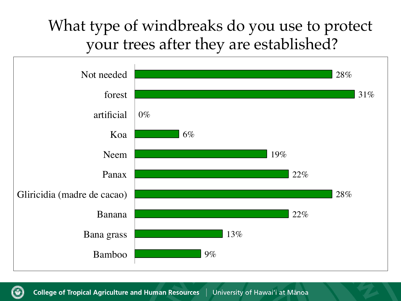### What type of windbreaks do you use to protect your trees after they are established?



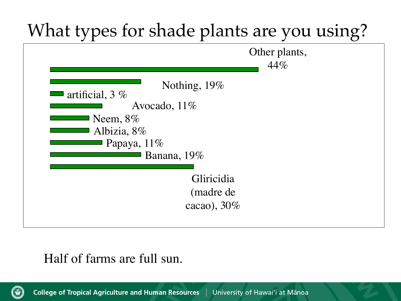

#### Half of farms are full sun.

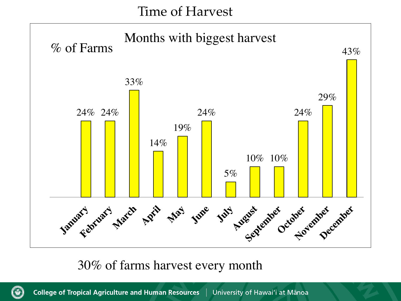Time of Harvest



#### 30% of farms harvest every month

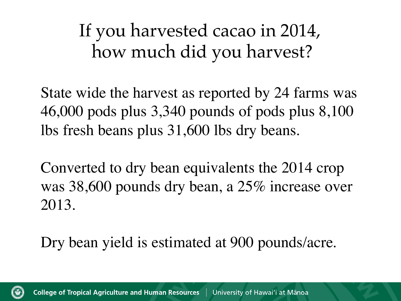If you harvested cacao in 2014, how much did you harvest?

State wide the harvest as reported by 24 farms was 46,000 pods plus 3,340 pounds of pods plus 8,100 lbs fresh beans plus 31,600 lbs dry beans.

Converted to dry bean equivalents the 2014 crop was 38,600 pounds dry bean, a 25% increase over 2013.

Dry bean yield is estimated at 900 pounds/acre.

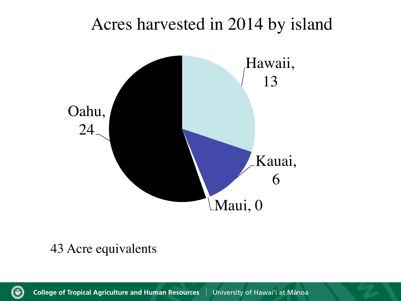### Acres harvested in 2014 by island



#### 43 Acre equivalents

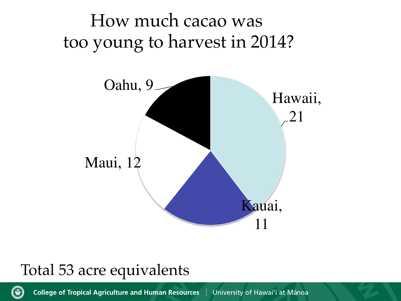## How much cacao was too young to harvest in 2014?



### Total 53 acre equivalents



**College of Tropical Agriculture and Human Resources** University of Hawai'i at Mānoa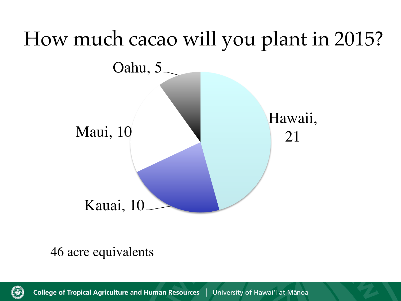

46 acre equivalents

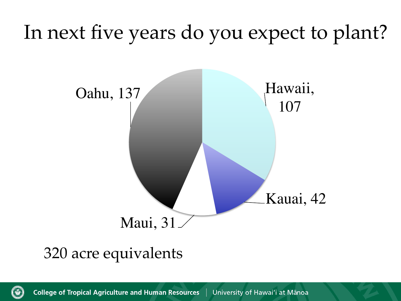## In next five years do you expect to plant?



### 320 acre equivalents

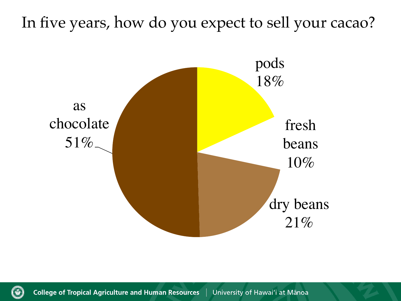### In five years, how do you expect to sell your cacao?



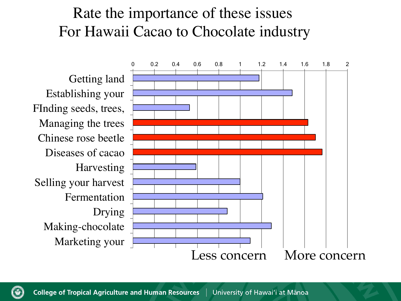### Rate the importance of these issues For Hawaii Cacao to Chocolate industry



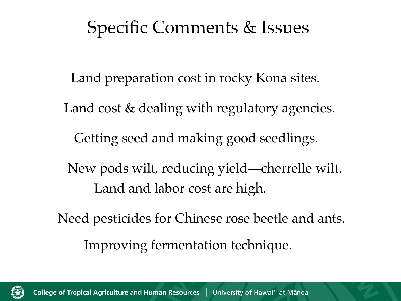### Specific Comments & Issues

Land preparation cost in rocky Kona sites. Land cost & dealing with regulatory agencies. Getting seed and making good seedlings. New pods wilt, reducing yield—cherrelle wilt. Land and labor cost are high. Need pesticides for Chinese rose beetle and ants. Improving fermentation technique.